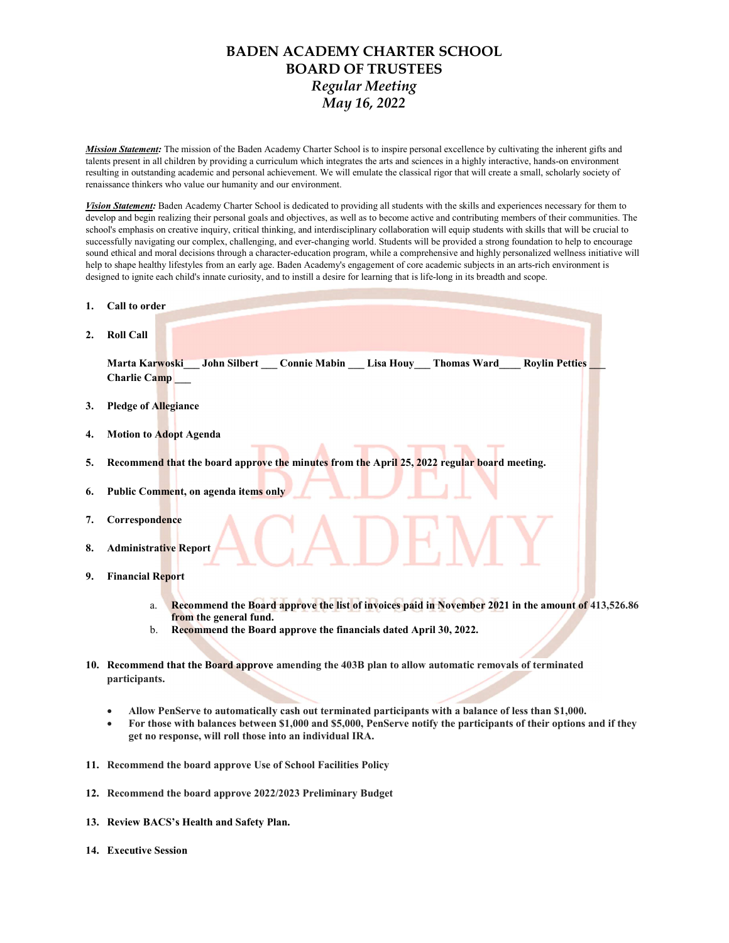## BADEN ACADEMY CHARTER SCHOOL BOARD OF TRUSTEES Regular Meeting May 16, 2022

Mission Statement: The mission of the Baden Academy Charter School is to inspire personal excellence by cultivating the inherent gifts and talents present in all children by providing a curriculum which integrates the arts and sciences in a highly interactive, hands-on environment resulting in outstanding academic and personal achievement. We will emulate the classical rigor that will create a small, scholarly society of renaissance thinkers who value our humanity and our environment.

Vision Statement: Baden Academy Charter School is dedicated to providing all students with the skills and experiences necessary for them to develop and begin realizing their personal goals and objectives, as well as to become active and contributing members of their communities. The school's emphasis on creative inquiry, critical thinking, and interdisciplinary collaboration will equip students with skills that will be crucial to successfully navigating our complex, challenging, and ever-changing world. Students will be provided a strong foundation to help to encourage sound ethical and moral decisions through a character-education program, while a comprehensive and highly personalized wellness initiative will help to shape healthy lifestyles from an early age. Baden Academy's engagement of core academic subjects in an arts-rich environment is designed to ignite each child's innate curiosity, and to instill a desire for learning that is life-long in its breadth and scope.

| 1. | Call to order                                                                                                                      |
|----|------------------------------------------------------------------------------------------------------------------------------------|
| 2. | <b>Roll Call</b>                                                                                                                   |
|    | Marta Karwoski John Silbert Connie Mabin Lisa Houy Thomas Ward Roylin Petties<br><b>Charlie Camp</b>                               |
| 3. | <b>Pledge of Allegiance</b>                                                                                                        |
| 4. | <b>Motion to Adopt Agenda</b>                                                                                                      |
| 5. | Recommend that the board approve the minutes from the April 25, 2022 regular board meeting.                                        |
| 6. | Public Comment, on agenda items only                                                                                               |
| 7. | Correspondence                                                                                                                     |
| 8. | <b>Administrative Report</b>                                                                                                       |
| 9. | <b>Financial Report</b>                                                                                                            |
|    | Recommend the Board approve the list of invoices paid in November 2021 in the amount of 413,526.86<br>a.<br>from the general fund. |

- b. Recommend the Board approve the financials dated April 30, 2022.
- 10. Recommend that the Board approve amending the 403B plan to allow automatic removals of terminated participants.
	- Allow PenServe to automatically cash out terminated participants with a balance of less than \$1,000.
	- For those with balances between \$1,000 and \$5,000, PenServe notify the participants of their options and if they get no response, will roll those into an individual IRA.
- 11. Recommend the board approve Use of School Facilities Policy
- 12. Recommend the board approve 2022/2023 Preliminary Budget
- 13. Review BACS's Health and Safety Plan.
- 14. Executive Session